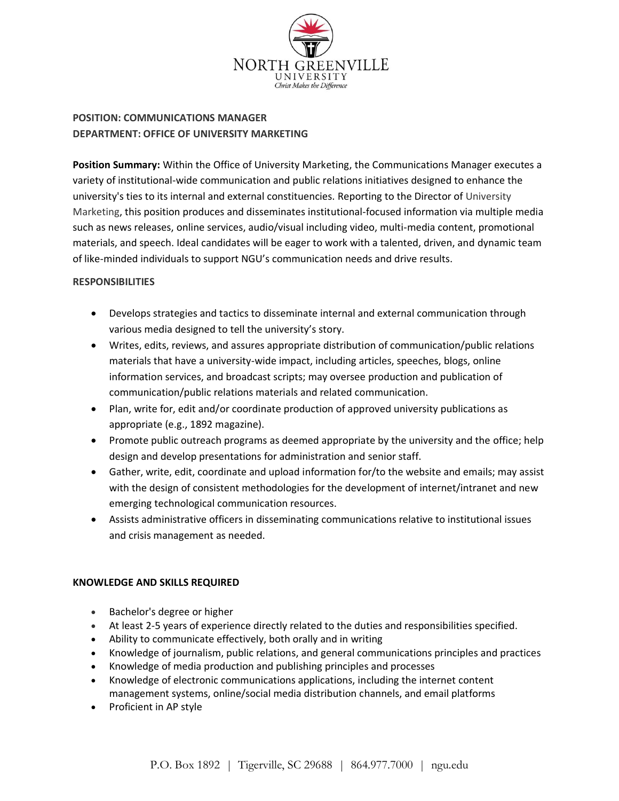

# **POSITION: COMMUNICATIONS MANAGER DEPARTMENT: OFFICE OF UNIVERSITY MARKETING**

**Position Summary:** Within the Office of University Marketing, the Communications Manager executes a variety of institutional-wide communication and public relations initiatives designed to enhance the university's ties to its internal and external constituencies. Reporting to the Director of University Marketing, this position produces and disseminates institutional-focused information via multiple media such as news releases, online services, audio/visual including video, multi-media content, promotional materials, and speech. Ideal candidates will be eager to work with a talented, driven, and dynamic team of like-minded individuals to support NGU's communication needs and drive results.

## **RESPONSIBILITIES**

- Develops strategies and tactics to disseminate internal and external communication through various media designed to tell the university's story.
- Writes, edits, reviews, and assures appropriate distribution of communication/public relations materials that have a university-wide impact, including articles, speeches, blogs, online information services, and broadcast scripts; may oversee production and publication of communication/public relations materials and related communication.
- Plan, write for, edit and/or coordinate production of approved university publications as appropriate (e.g., 1892 magazine).
- Promote public outreach programs as deemed appropriate by the university and the office; help design and develop presentations for administration and senior staff.
- Gather, write, edit, coordinate and upload information for/to the website and emails; may assist with the design of consistent methodologies for the development of internet/intranet and new emerging technological communication resources.
- Assists administrative officers in disseminating communications relative to institutional issues and crisis management as needed.

## **KNOWLEDGE AND SKILLS REQUIRED**

- Bachelor's degree or higher
- At least 2-5 years of experience directly related to the duties and responsibilities specified.
- Ability to communicate effectively, both orally and in writing
- Knowledge of journalism, public relations, and general communications principles and practices
- Knowledge of media production and publishing principles and processes
- Knowledge of electronic communications applications, including the internet content management systems, online/social media distribution channels, and email platforms
- Proficient in AP style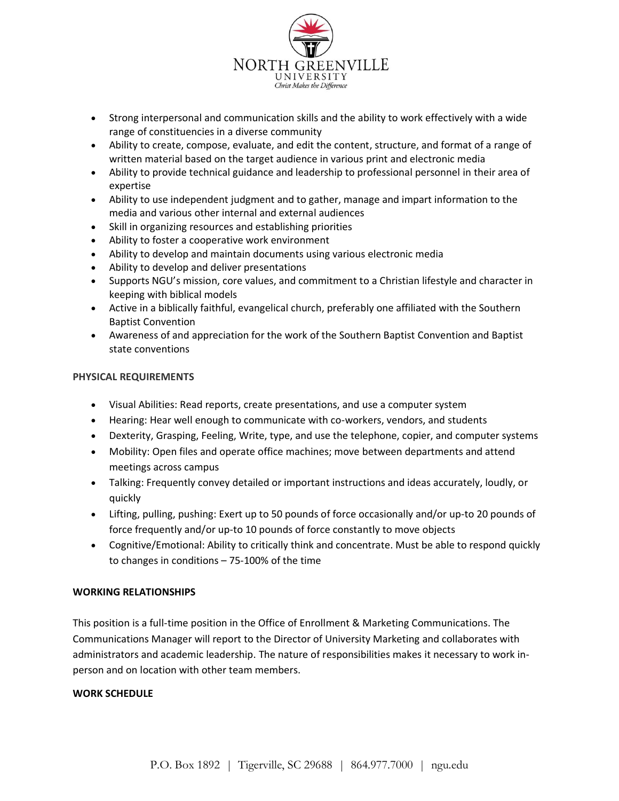

- Strong interpersonal and communication skills and the ability to work effectively with a wide range of constituencies in a diverse community
- Ability to create, compose, evaluate, and edit the content, structure, and format of a range of written material based on the target audience in various print and electronic media
- Ability to provide technical guidance and leadership to professional personnel in their area of expertise
- Ability to use independent judgment and to gather, manage and impart information to the media and various other internal and external audiences
- Skill in organizing resources and establishing priorities
- Ability to foster a cooperative work environment
- Ability to develop and maintain documents using various electronic media
- Ability to develop and deliver presentations
- Supports NGU's mission, core values, and commitment to a Christian lifestyle and character in keeping with biblical models
- Active in a biblically faithful, evangelical church, preferably one affiliated with the Southern Baptist Convention
- Awareness of and appreciation for the work of the Southern Baptist Convention and Baptist state conventions

#### **PHYSICAL REQUIREMENTS**

- Visual Abilities: Read reports, create presentations, and use a computer system
- Hearing: Hear well enough to communicate with co-workers, vendors, and students
- Dexterity, Grasping, Feeling, Write, type, and use the telephone, copier, and computer systems
- Mobility: Open files and operate office machines; move between departments and attend meetings across campus
- Talking: Frequently convey detailed or important instructions and ideas accurately, loudly, or quickly
- Lifting, pulling, pushing: Exert up to 50 pounds of force occasionally and/or up-to 20 pounds of force frequently and/or up-to 10 pounds of force constantly to move objects
- Cognitive/Emotional: Ability to critically think and concentrate. Must be able to respond quickly to changes in conditions – 75‐100% of the time

## **WORKING RELATIONSHIPS**

This position is a full-time position in the Office of Enrollment & Marketing Communications. The Communications Manager will report to the Director of University Marketing and collaborates with administrators and academic leadership. The nature of responsibilities makes it necessary to work inperson and on location with other team members.

## **WORK SCHEDULE**